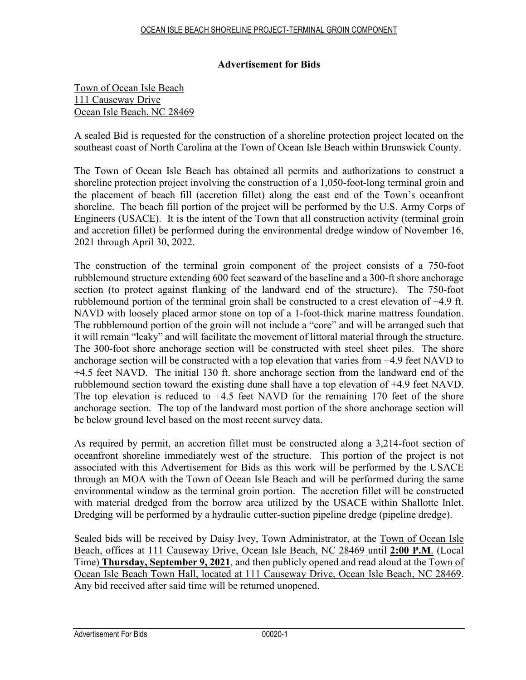## **Advertisement for Bids**

## Town of Ocean Isle Beach 111 Causeway Drive Ocean Isle Beach, NC 28469

A sealed Bid is requested for the construction of a shoreline protection project located on the southeast coast of North Carolina at the Town of Ocean Isle Beach within Brunswick County.

The Town of Ocean Isle Beach has obtained all permits and authorizations to construct a shoreline protection project involving the construction of a 1,050-foot-long terminal groin and the placement of beach fill (accretion fillet) along the east end of the Town's oceanfront shoreline. The beach fill portion of the project will be performed by the U.S. Army Corps of Engineers (USACE). It is the intent of the Town that all construction activity (terminal groin and accretion fillet) be performed during the environmental dredge window of November 16, 2021 through April 30, 2022.

The construction of the terminal groin component of the project consists of a 750-foot rubblemound structure extending 600 feet seaward of the baseline and a 300-ft shore anchorage section (to protect against flanking of the landward end of the structure). The 750-foot rubblemound portion of the terminal groin shall be constructed to a crest elevation of +4.9 ft. NAVD with loosely placed armor stone on top of a 1-foot-thick marine mattress foundation. The rubblemound portion of the groin will not include a "core" and will be arranged such that it will remain "leaky" and will facilitate the movement of littoral material through the structure. The 300-foot shore anchorage section will be constructed with steel sheet piles. The shore anchorage section will be constructed with a top elevation that varies from +4.9 feet NAVD to +4.5 feet NAVD. The initial 130 ft. shore anchorage section from the landward end of the rubblemound section toward the existing dune shall have a top elevation of +4.9 feet NAVD. The top elevation is reduced to +4.5 feet NAVD for the remaining 170 feet of the shore anchorage section. The top of the landward most portion of the shore anchorage section will be below ground level based on the most recent survey data.

As required by permit, an accretion fillet must be constructed along a 3,214-foot section of oceanfront shoreline immediately west of the structure. This portion of the project is not associated with this Advertisement for Bids as this work will be performed by the USACE through an MOA with the Town of Ocean Isle Beach and will be performed during the same environmental window as the terminal groin portion. The accretion fillet will be constructed with material dredged from the borrow area utilized by the USACE within Shallotte Inlet. Dredging will be performed by a hydraulic cutter-suction pipeline dredge (pipeline dredge).

Sealed bids will be received by Daisy Ivey, Town Administrator, at the Town of Ocean Isle Beach, offices at 111 Causeway Drive, Ocean Isle Beach, NC 28469 until **2:00 P.M**. (Local Time) **Thursday, September 9, 2021**, and then publicly opened and read aloud at the Town of Ocean Isle Beach Town Hall, located at 111 Causeway Drive, Ocean Isle Beach, NC 28469. Any bid received after said time will be returned unopened.